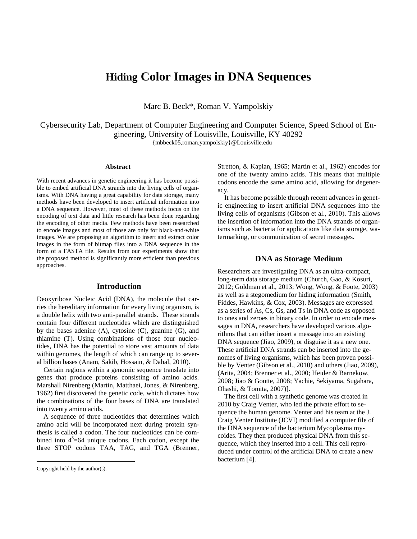# **Hiding Color Images in DNA Sequences**

Marc B. Beck\*, Roman V. Yampolskiy

Cybersecurity Lab, Department of Computer Engineering and Computer Science, Speed School of Engineering, University of Louisville, Louisville, KY 40292 {mbbeck05,roman.yampolskiy}@Louisville.edu

#### **Abstract**

With recent advances in genetic engineering it has become possible to embed artificial DNA strands into the living cells of organisms. With DNA having a great capability for data storage, many methods have been developed to insert artificial information into a DNA sequence. However, most of these methods focus on the encoding of text data and little research has been done regarding the encoding of other media. Few methods have been researched to encode images and most of those are only for black-and-white images. We are proposing an algorithm to insert and extract color images in the form of bitmap files into a DNA sequence in the form of a FASTA file. Results from our experiments show that the proposed method is significantly more efficient than previous approaches.

## **Introduction**

Deoxyribose Nucleic Acid (DNA), the molecule that carries the hereditary information for every living organism, is a double helix with two anti-parallel strands. These strands contain four different nucleotides which are distinguished by the bases adenine (A), cytosine (C), guanine (G), and thiamine (T). Using combinations of those four nucleotides, DNA has the potential to store vast amounts of data within genomes, the length of which can range up to several billion bases [\(Anam, Sakib, Hossain, & Dahal, 2010\)](#page-4-0).

Certain regions within a genomic sequence translate into genes that produce proteins consisting of amino acids. Marshall Nirenberg [\(Martin, Matthaei, Jones, & Nirenberg,](#page-4-1)  [1962\)](#page-4-1) first discovered the genetic code, which dictates how the combinations of the four bases of DNA are translated into twenty amino acids.

A sequence of three nucleotides that determines which amino acid will be incorporated next during protein synthesis is called a codon. The four nucleotides can be combined into  $4^3$ =64 unique codons. Each codon, except the three STOP codons TAA, TAG, and TGA [\(Brenner,](#page-4-2) 

 $\overline{a}$ 

[Stretton, & Kaplan, 1965;](#page-4-2) [Martin et al., 1962\)](#page-4-1) encodes for one of the twenty amino acids. This means that multiple codons encode the same amino acid, allowing for degeneracy.

It has become possible through recent advances in genetic engineering to insert artificial DNA sequences into the living cells of organisms [\(Gibson et al., 2010\)](#page-4-3). This allows the insertion of information into the DNA strands of organisms such as bacteria for applications like data storage, watermarking, or communication of secret messages.

## **DNA as Storage Medium**

Researchers are investigating DNA as an ultra-compact, long-term data storage medium [\(Church, Gao, & Kosuri,](#page-4-4)  [2012;](#page-4-4) [Goldman et al., 2013;](#page-4-5) [Wong, Wong, & Foote, 2003\)](#page-4-6) as well as a stegomedium for hiding information [\(Smith,](#page-4-7)  [Fiddes, Hawkins, & Cox, 2003\)](#page-4-7). Messages are expressed as a series of As, Cs, Gs, and Ts in DNA code as opposed to ones and zeroes in binary code. In order to encode messages in DNA, researchers have developed various algorithms that can either insert a message into an existing DNA sequence [\(Jiao, 2009\)](#page-4-8), or disguise it as a new one. These artificial DNA strands can be inserted into the genomes of living organisms, which has been proven possible by Venter [\(Gibson et al., 2010\)](#page-4-3) and others [\(Jiao, 2009\)](#page-4-8), [\(Arita, 2004;](#page-4-9) [Brenner et al., 2000;](#page-4-10) [Heider & Barnekow,](#page-4-11)  [2008;](#page-4-11) [Jiao & Goutte, 2008;](#page-4-12) [Yachie, Sekiyama, Sugahara,](#page-4-13)  [Ohashi, & Tomita, 2007\)](#page-4-13)].

The first cell with a synthetic genome was created in 2010 by Craig Venter, who led the private effort to sequence the human genome. Venter and his team at the J. Craig Venter Institute (JCVI) modified a computer file of the DNA sequence of the bacterium Mycoplasma mycoides. They then produced physical DNA from this sequence, which they inserted into a cell. This cell reproduced under control of the artificial DNA to create a new bacterium [4].

Copyright held by the author(s).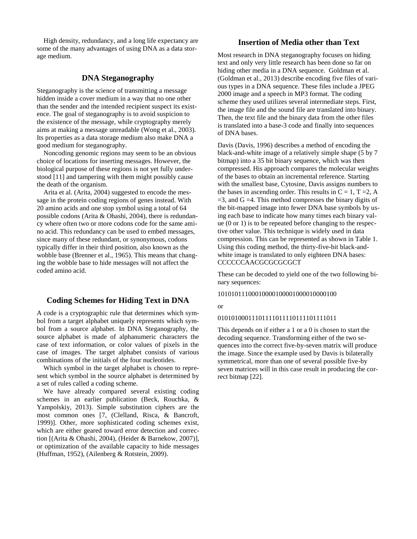High density, redundancy, and a long life expectancy are some of the many advantages of using DNA as a data storage medium.

# **DNA Steganography**

Steganography is the science of transmitting a message hidden inside a cover medium in a way that no one other than the sender and the intended recipient suspect its existence. The goal of steganography is to avoid suspicion to the existence of the message, while cryptography merely aims at making a message unreadable [\(Wong et al., 2003\)](#page-4-6). Its properties as a data storage medium also make DNA a good medium for steganography.

Noncoding genomic regions may seem to be an obvious choice of locations for inserting messages. However, the biological purpose of these regions is not yet fully understood [11] and tampering with them might possibly cause the death of the organism.

Arita et al. [\(Arita, 2004\)](#page-4-9) suggested to encode the message in the protein coding regions of genes instead. With 20 amino acids and one stop symbol using a total of 64 possible codons [\(Arita & Ohashi, 2004\)](#page-4-14), there is redundancy where often two or more codons code for the same amino acid. This redundancy can be used to embed messages, since many of these redundant, or synonymous, codons typically differ in their third position, also known as the wobble base [\(Brenner et al., 1965\)](#page-4-2). This means that changing the wobble base to hide messages will not affect the coded amino acid.

# **Coding Schemes for Hiding Text in DNA**

A code is a cryptographic rule that determines which symbol from a target alphabet uniquely represents which symbol from a source alphabet. In DNA Steganography, the source alphabet is made of alphanumeric characters the case of text information, or color values of pixels in the case of images. The target alphabet consists of various combinations of the initials of the four nucleotides.

Which symbol in the target alphabet is chosen to represent which symbol in the source alphabet is determined by a set of rules called a coding scheme.

We have already compared several existing coding schemes in an earlier publication [\(Beck, Rouchka, &](#page-4-15)  [Yampolskiy, 2013\)](#page-4-15). Simple substitution ciphers are the most common ones [7, [\(Clelland, Risca, & Bancroft,](#page-4-16)  [1999\)](#page-4-16)]. Other, more sophisticated coding schemes exist, which are either geared toward error detection and correction [[\(Arita & Ohashi, 2004\)](#page-4-14), [\(Heider & Barnekow, 2007\)](#page-4-17)], or optimization of the available capacity to hide messages [\(Huffman, 1952\)](#page-4-18), [\(Ailenberg & Rotstein, 2009\)](#page-4-19).

## **Insertion of Media other than Text**

Most research in DNA steganography focuses on hiding text and only very little research has been done so far on hiding other media in a DNA sequence. Goldman et al. [\(Goldman et al., 2013\)](#page-4-5) describe encoding five files of various types in a DNA sequence. These files include a JPEG 2000 image and a speech in MP3 format. The coding scheme they used utilizes several intermediate steps. First, the image file and the sound file are translated into binary. Then, the text file and the binary data from the other files is translated into a base-3 code and finally into sequences of DNA bases.

Davis [\(Davis, 1996\)](#page-4-20) describes a method of encoding the black-and-white image of a relatively simple shape (5 by 7 bitmap) into a 35 bit binary sequence, which was then compressed. His approach compares the molecular weights of the bases to obtain an incremental reference. Starting with the smallest base, Cytosine, Davis assigns numbers to the bases in ascending order. This results in  $C = 1$ ,  $T = 2$ , A  $=$ 3, and G  $=$ 4. This method compresses the binary digits of the bit-mapped image into fewer DNA base symbols by using each base to indicate how many times each binary value (0 or 1) is to be repeated before changing to the respective other value. This technique is widely used in data compression. This can be represented as shown in Table 1. Using this coding method, the thirty-five-bit black-andwhite image is translated to only eighteen DNA bases: CCCCCCAACGCGCGCGCT

These can be decoded to yield one of the two following binary sequences:

#### 10101011100010000100001000010000100

or

## 01010100011101111011110111101111011

This depends on if either a 1 or a 0 is chosen to start the decoding sequence. Transforming either of the two sequences into the correct five-by-seven matrix will produce the image. Since the example used by Davis is bilaterally symmetrical, more than one of several possible five-by seven matrices will in this case result in producing the correct bitmap [22].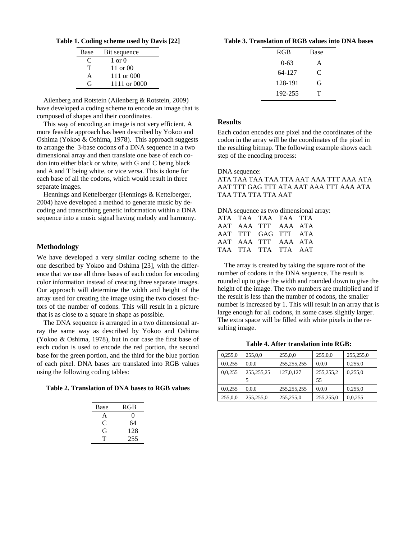| Table 1. Coding scheme used by Davis [22] |  |  |  |  |  |  |
|-------------------------------------------|--|--|--|--|--|--|
|-------------------------------------------|--|--|--|--|--|--|

| Base | Bit sequence      |
|------|-------------------|
| €    | $1 \text{ or } 0$ |
| Т    | 11 or 00          |
| A    | 111 or 000        |
| G    | 1111 or 0000      |

Ailenberg and Rotstein [\(Ailenberg & Rotstein, 2009\)](#page-4-19) have developed a coding scheme to encode an image that is composed of shapes and their coordinates.

This way of encoding an image is not very efficient. A more feasible approach has been described by Yokoo and Oshima [\(Yokoo & Oshima, 1978\)](#page-4-21). This approach suggests to arrange the 3-base codons of a DNA sequence in a two dimensional array and then translate one base of each codon into either black or white, with G and C being black and A and T being white, or vice versa. This is done for each base of all the codons, which would result in three separate images.

Hennings and Kettelberger [\(Hennings & Kettelberger,](#page-4-22)  [2004\)](#page-4-22) have developed a method to generate music by decoding and transcribing genetic information within a DNA sequence into a music signal having melody and harmony.

## **Methodology**

We have developed a very similar coding scheme to the one described by Yokoo and Oshima [23], with the difference that we use all three bases of each codon for encoding color information instead of creating three separate images. Our approach will determine the width and height of the array used for creating the image using the two closest factors of the number of codons. This will result in a picture that is as close to a square in shape as possible.

The DNA sequence is arranged in a two dimensional array the same way as described by Yokoo and Oshima (Yokoo & Oshima, 1978), but in our case the first base of each codon is used to encode the red portion, the second base for the green portion, and the third for the blue portion of each pixel. DNA bases are translated into RGB values using the following coding tables:

**Table 2. Translation of DNA bases to RGB values**

| Base | RGB      |
|------|----------|
| A    | $\Omega$ |
| ⊖    | 64       |
| G    | 128      |
| Τ    | 255      |

#### **Table 3. Translation of RGB values into DNA bases**

| <b>RGB</b> | <b>Base</b> |
|------------|-------------|
| $0 - 63$   | A           |
| 64-127     | C           |
| 128-191    | G           |
| 192-255    | т           |
|            |             |

## **Results**

Each codon encodes one pixel and the coordinates of the codon in the array will be the coordinates of the pixel in the resulting bitmap. The following example shows each step of the encoding process:

### DNA sequence:

ATA TAA TAA TAA TTA AAT AAA TTT AAA ATA AAT TTT GAG TTT ATA AAT AAA TTT AAA ATA TAA TTA TTA TTA AAT

DNA sequence as two dimensional array:

| ATA TAA TAA TAA TTA |  |  |
|---------------------|--|--|
| AAT AAA TTT AAA ATA |  |  |
| AAT TTT GAG TTT ATA |  |  |
| AAT AAA TTT AAA ATA |  |  |
| TAA TTA TTA TTA AAT |  |  |
|                     |  |  |

The array is created by taking the square root of the number of codons in the DNA sequence. The result is rounded up to give the width and rounded down to give the height of the image. The two numbers are multiplied and if the result is less than the number of codons, the smaller number is increased by 1. This will result in an array that is large enough for all codons, in some cases slightly larger. The extra space will be filled with white pixels in the resulting image.

**Table 4. After translation into RGB:**

| 0,255,0 | 255,0,0      | 255,0,0       | 255,0,0     | 255,255,0 |
|---------|--------------|---------------|-------------|-----------|
| 0,0,255 | 0.0,0        | 255, 255, 255 | 0.0.0       | 0,255,0   |
| 0,0,255 | 255, 255, 25 | 127,0,127     | 255, 255, 2 | 0,255,0   |
|         |              |               | 55          |           |
| 0,0,255 | 0.0,0        | 255, 255, 255 | 0.0.0       | 0,255,0   |
| 255,0,0 | 255,255,0    | 255,255,0     | 255,255,0   | 0,0,255   |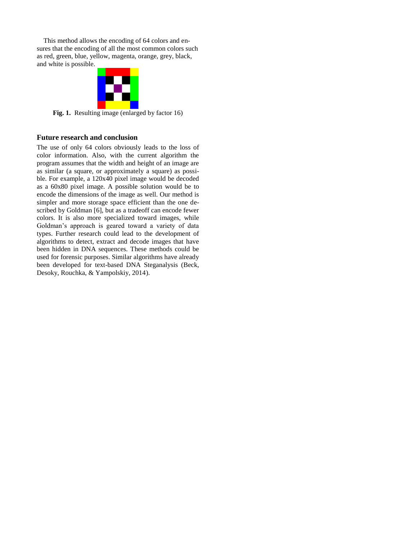This method allows the encoding of 64 colors and ensures that the encoding of all the most common colors such as red, green, blue, yellow, magenta, orange, grey, black, and white is possible.



Fig. 1. Resulting image (enlarged by factor 16)

# **Future research and conclusion**

The use of only 64 colors obviously leads to the loss of color information. Also, with the current algorithm the program assumes that the width and height of an image are as similar (a square, or approximately a square) as possible. For example, a 120x40 pixel image would be decoded as a 60x80 pixel image. A possible solution would be to encode the dimensions of the image as well. Our method is simpler and more storage space efficient than the one described by Goldman [6], but as a tradeoff can encode fewer colors. It is also more specialized toward images, while Goldman's approach is geared toward a variety of data types. Further research could lead to the development of algorithms to detect, extract and decode images that have been hidden in DNA sequences. These methods could be used for forensic purposes. Similar algorithms have already been developed for text-based DNA Steganalysis [\(Beck,](#page-4-23)  [Desoky, Rouchka, & Yampolskiy, 2014\)](#page-4-23).